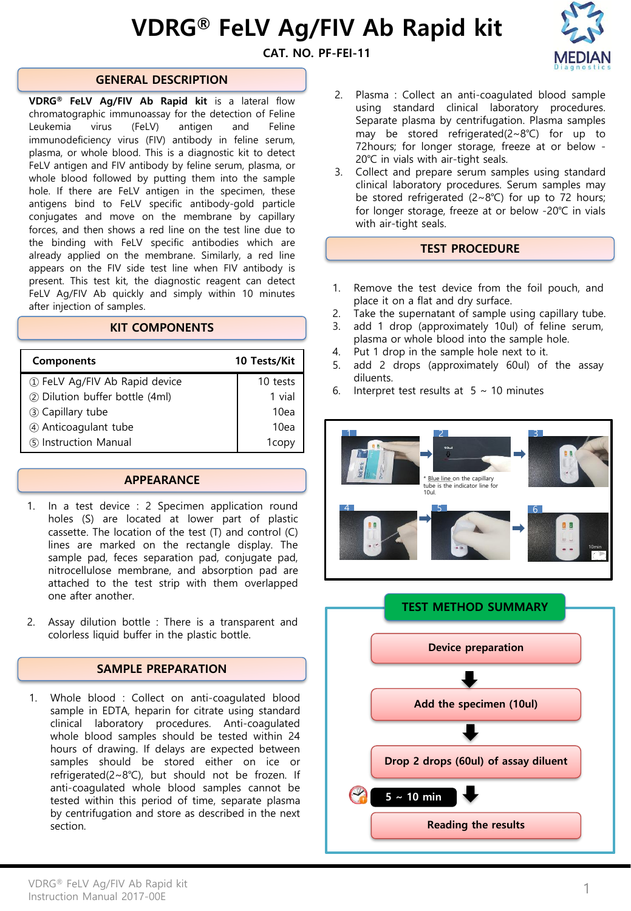# VDRG® FeLV Ag/FIV Ab Rapid kit

## CAT. NO. PF-FEI-11



### GENERAL DESCRIPTION

VDRG® FeLV Ag/FIV Ab Rapid kit is a lateral flow chromatographic immunoassay for the detection of Feline Leukemia virus (FeLV) antigen and Feline immunodeficiency virus (FIV) antibody in feline serum, plasma, or whole blood. This is a diagnostic kit to detect FeLV antigen and FIV antibody by feline serum, plasma, or whole blood followed by putting them into the sample hole. If there are FeLV antigen in the specimen, these antigens bind to FeLV specific antibody-gold particle conjugates and move on the membrane by capillary forces, and then shows a red line on the test line due to the binding with FeLV specific antibodies which are already applied on the membrane. Similarly, a red line appears on the FIV side test line when FIV antibody is present. This test kit, the diagnostic reagent can detect FeLV Ag/FIV Ab quickly and simply within 10 minutes after injection of samples.

### KIT COMPONENTS

| <b>Components</b>              | 10 Tests/Kit |
|--------------------------------|--------------|
| 1 FeLV Ag/FIV Ab Rapid device  | 10 tests     |
| 2 Dilution buffer bottle (4ml) | 1 vial       |
| 3 Capillary tube               | 10ea         |
| 4) Anticoagulant tube          | 10ea         |
| (5) Instruction Manual         | 1copy        |

### APPEARANCE

- 1. In a test device : 2 Specimen application round holes (S) are located at lower part of plastic cassette. The location of the test (T) and control (C) lines are marked on the rectangle display. The sample pad, feces separation pad, conjugate pad, nitrocellulose membrane, and absorption pad are attached to the test strip with them overlapped one after another.
- 2. Assay dilution bottle : There is a transparent and colorless liquid buffer in the plastic bottle.

#### SAMPLE PREPARATION

1. Whole blood : Collect on anti-coagulated blood sample in EDTA, heparin for citrate using standard clinical laboratory procedures. Anti-coagulated whole blood samples should be tested within 24 hours of drawing. If delays are expected between samples should be stored either on ice or refrigerated(2~8℃), but should not be frozen. If anti-coagulated whole blood samples cannot be tested within this period of time, separate plasma by centrifugation and store as described in the next section.

- 2. Plasma : Collect an anti-coagulated blood sample using standard clinical laboratory procedures. Separate plasma by centrifugation. Plasma samples may be stored refrigerated(2~8℃) for up to 72hours; for longer storage, freeze at or below - 20℃ in vials with air-tight seals.
- 3. Collect and prepare serum samples using standard clinical laboratory procedures. Serum samples may be stored refrigerated (2~8℃) for up to 72 hours; for longer storage, freeze at or below -20℃ in vials with air-tight seals.

#### TEST PROCEDURE

- 1. Remove the test device from the foil pouch, and place it on a flat and dry surface.
- 2. Take the supernatant of sample using capillary tube.
- 3. add 1 drop (approximately 10ul) of feline serum, plasma or whole blood into the sample hole.
- 4. Put 1 drop in the sample hole next to it.
- 5. add 2 drops (approximately 60ul) of the assay diluents.
- 6. Interpret test results at  $5 \sim 10$  minutes